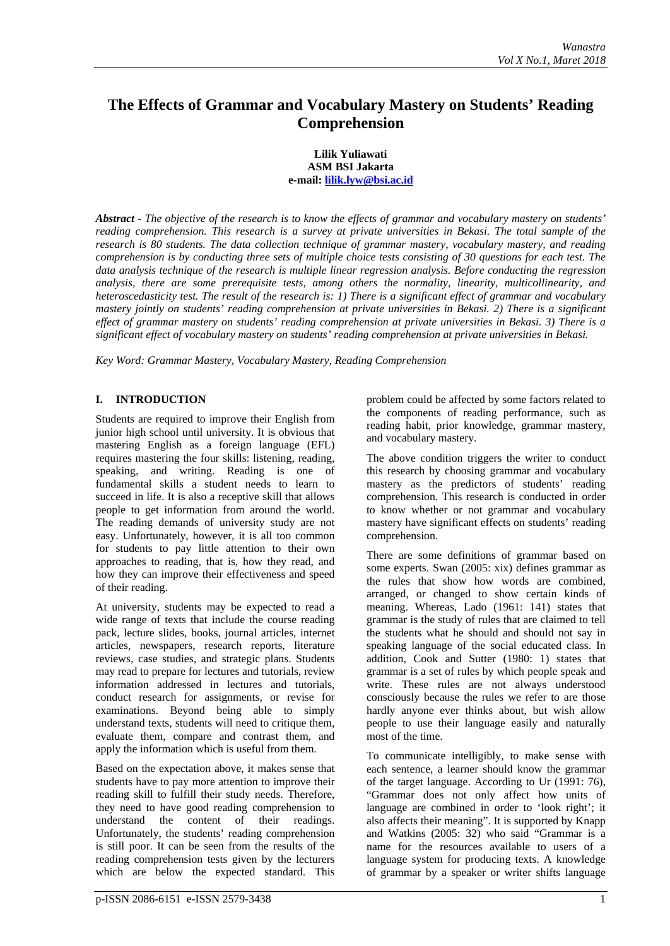# **The Effects of Grammar and Vocabulary Mastery on Students' Reading Comprehension**

#### **Lilik Yuliawati ASM BSI Jakarta e-mail: [lilik.lyw@bsi.ac.id](mailto:lilik.lyw@bsi.ac.id)**

*Abstract - The objective of the research is to know the effects of grammar and vocabulary mastery on students' reading comprehension. This research is a survey at private universities in Bekasi. The total sample of the research is 80 students. The data collection technique of grammar mastery, vocabulary mastery, and reading comprehension is by conducting three sets of multiple choice tests consisting of 30 questions for each test. The data analysis technique of the research is multiple linear regression analysis. Before conducting the regression analysis, there are some prerequisite tests, among others the normality, linearity, multicollinearity, and heteroscedasticity test. The result of the research is: 1) There is a significant effect of grammar and vocabulary mastery jointly on students' reading comprehension at private universities in Bekasi. 2) There is a significant effect of grammar mastery on students' reading comprehension at private universities in Bekasi. 3) There is a significant effect of vocabulary mastery on students' reading comprehension at private universities in Bekasi.*

*Key Word: Grammar Mastery, Vocabulary Mastery, Reading Comprehension*

# **I. INTRODUCTION**

Students are required to improve their English from junior high school until university. It is obvious that mastering English as a foreign language (EFL) requires mastering the four skills: listening, reading, speaking, and writing. Reading is one of fundamental skills a student needs to learn to succeed in life. It is also a receptive skill that allows people to get information from around the world. The reading demands of university study are not easy. Unfortunately, however, it is all too common for students to pay little attention to their own approaches to reading, that is, how they read, and how they can improve their effectiveness and speed of their reading.

At university, students may be expected to read a wide range of texts that include the course reading pack, lecture slides, books, journal articles, internet articles, newspapers, research reports, literature reviews, case studies, and strategic plans. Students may read to prepare for lectures and tutorials, review information addressed in lectures and tutorials, conduct research for assignments, or revise for examinations. Beyond being able to simply understand texts, students will need to critique them, evaluate them, compare and contrast them, and apply the information which is useful from them.

Based on the expectation above, it makes sense that students have to pay more attention to improve their reading skill to fulfill their study needs. Therefore, they need to have good reading comprehension to understand the content of their readings. Unfortunately, the students' reading comprehension is still poor. It can be seen from the results of the reading comprehension tests given by the lecturers which are below the expected standard. This

problem could be affected by some factors related to the components of reading performance, such as reading habit, prior knowledge, grammar mastery, and vocabulary mastery.

The above condition triggers the writer to conduct this research by choosing grammar and vocabulary mastery as the predictors of students' reading comprehension. This research is conducted in order to know whether or not grammar and vocabulary mastery have significant effects on students' reading comprehension.

There are some definitions of grammar based on some experts. Swan (2005: xix) defines grammar as the rules that show how words are combined, arranged, or changed to show certain kinds of meaning. Whereas, Lado (1961: 141) states that grammar is the study of rules that are claimed to tell the students what he should and should not say in speaking language of the social educated class. In addition, Cook and Sutter (1980: 1) states that grammar is a set of rules by which people speak and write. These rules are not always understood consciously because the rules we refer to are those hardly anyone ever thinks about, but wish allow people to use their language easily and naturally most of the time.

To communicate intelligibly, to make sense with each sentence, a learner should know the grammar of the target language. According to Ur (1991: 76), "Grammar does not only affect how units of language are combined in order to 'look right'; it also affects their meaning". It is supported by Knapp and Watkins (2005: 32) who said "Grammar is a name for the resources available to users of a language system for producing texts. A knowledge of grammar by a speaker or writer shifts language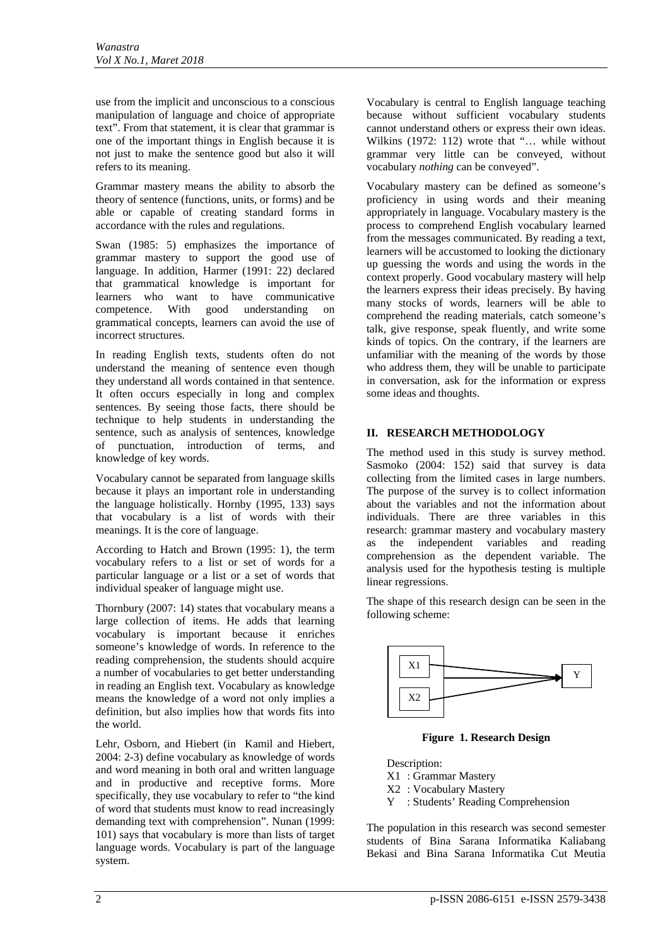use from the implicit and unconscious to a conscious manipulation of language and choice of appropriate text". From that statement, it is clear that grammar is one of the important things in English because it is not just to make the sentence good but also it will refers to its meaning.

Grammar mastery means the ability to absorb the theory of sentence (functions, units, or forms) and be able or capable of creating standard forms in accordance with the rules and regulations.

Swan (1985: 5) emphasizes the importance of grammar mastery to support the good use of language. In addition, Harmer (1991: 22) declared that grammatical knowledge is important for learners who want to have communicative competence. With good understanding on grammatical concepts, learners can avoid the use of incorrect structures.

In reading English texts, students often do not understand the meaning of sentence even though they understand all words contained in that sentence. It often occurs especially in long and complex sentences. By seeing those facts, there should be technique to help students in understanding the sentence, such as analysis of sentences, knowledge of punctuation, introduction of terms, and knowledge of key words.

Vocabulary cannot be separated from language skills because it plays an important role in understanding the language holistically. Hornby (1995, 133) says that vocabulary is a list of words with their meanings. It is the core of language.

According to Hatch and Brown (1995: 1), the term vocabulary refers to a list or set of words for a particular language or a list or a set of words that individual speaker of language might use.

Thornbury (2007: 14) states that vocabulary means a large collection of items. He adds that learning vocabulary is important because it enriches someone's knowledge of words. In reference to the reading comprehension, the students should acquire a number of vocabularies to get better understanding in reading an English text. Vocabulary as knowledge means the knowledge of a word not only implies a definition, but also implies how that words fits into the world.

Lehr, Osborn, and Hiebert (in Kamil and Hiebert, 2004: 2-3) define vocabulary as knowledge of words and word meaning in both oral and written language and in productive and receptive forms. More specifically, they use vocabulary to refer to "the kind of word that students must know to read increasingly demanding text with comprehension". Nunan (1999: 101) says that vocabulary is more than lists of target language words. Vocabulary is part of the language system.

Vocabulary is central to English language teaching because without sufficient vocabulary students cannot understand others or express their own ideas. Wilkins (1972: 112) wrote that "... while without grammar very little can be conveyed, without vocabulary *nothing* can be conveyed".

Vocabulary mastery can be defined as someone's proficiency in using words and their meaning appropriately in language. Vocabulary mastery is the process to comprehend English vocabulary learned from the messages communicated. By reading a text, learners will be accustomed to looking the dictionary up guessing the words and using the words in the context properly. Good vocabulary mastery will help the learners express their ideas precisely. By having many stocks of words, learners will be able to comprehend the reading materials, catch someone's talk, give response, speak fluently, and write some kinds of topics. On the contrary, if the learners are unfamiliar with the meaning of the words by those who address them, they will be unable to participate in conversation, ask for the information or express some ideas and thoughts.

# **II. RESEARCH METHODOLOGY**

The method used in this study is survey method. Sasmoko (2004: 152) said that survey is data collecting from the limited cases in large numbers. The purpose of the survey is to collect information about the variables and not the information about individuals. There are three variables in this research: grammar mastery and vocabulary mastery as the independent variables and reading comprehension as the dependent variable. The analysis used for the hypothesis testing is multiple linear regressions.

The shape of this research design can be seen in the following scheme:



**Figure 1. Research Design**

Description: X1 : Grammar Mastery X2 : Vocabulary Mastery Y : Students' Reading Comprehension

The population in this research was second semester students of Bina Sarana Informatika Kaliabang Bekasi and Bina Sarana Informatika Cut Meutia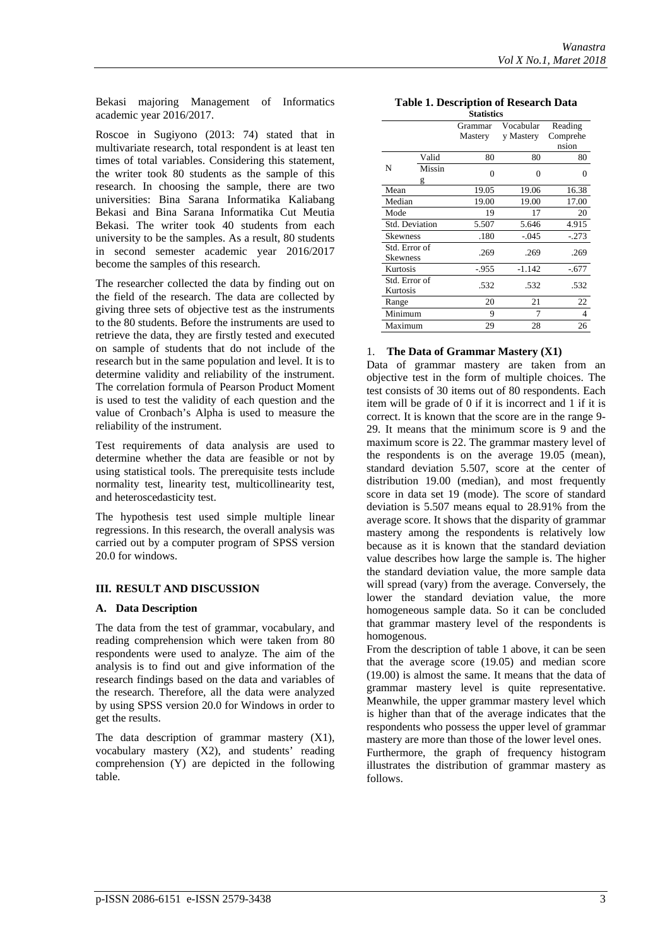Bekasi majoring Management of Informatics academic year 2016/2017.

Roscoe in Sugiyono (2013: 74) stated that in multivariate research, total respondent is at least ten times of total variables. Considering this statement, the writer took 80 students as the sample of this research. In choosing the sample, there are two universities: Bina Sarana Informatika Kaliabang Bekasi and Bina Sarana Informatika Cut Meutia Bekasi. The writer took 40 students from each university to be the samples. As a result, 80 students in second semester academic year 2016/2017 become the samples of this research.

The researcher collected the data by finding out on the field of the research. The data are collected by giving three sets of objective test as the instruments to the 80 students. Before the instruments are used to retrieve the data, they are firstly tested and executed on sample of students that do not include of the research but in the same population and level. It is to determine validity and reliability of the instrument. The correlation formula of Pearson Product Moment is used to test the validity of each question and the value of Cronbach's Alpha is used to measure the reliability of the instrument.

Test requirements of data analysis are used to determine whether the data are feasible or not by using statistical tools. The prerequisite tests include normality test, linearity test, multicollinearity test, and heteroscedasticity test.

The hypothesis test used simple multiple linear regressions. In this research, the overall analysis was carried out by a computer program of SPSS version 20.0 for windows.

# **III. RESULT AND DISCUSSION**

#### **A. Data Description**

The data from the test of grammar, vocabulary, and reading comprehension which were taken from 80 respondents were used to analyze. The aim of the analysis is to find out and give information of the research findings based on the data and variables of the research. Therefore, all the data were analyzed by using SPSS version 20.0 for Windows in order to get the results.

The data description of grammar mastery (X1), vocabulary mastery (X2), and students' reading comprehension (Y) are depicted in the following table.

| <b>Table 1. Description of Research Data</b> |
|----------------------------------------------|
| C4-4-4-4-                                    |

| <b>Statistics</b>         |             |                    |                        |                              |  |  |
|---------------------------|-------------|--------------------|------------------------|------------------------------|--|--|
|                           |             | Grammar<br>Mastery | Vocabular<br>y Mastery | Reading<br>Comprehe<br>nsion |  |  |
|                           | Valid       | 80                 | 80                     | 80                           |  |  |
| N                         | Missin<br>g | $\theta$           | 0                      | 0                            |  |  |
| Mean                      |             | 19.05              | 19.06                  | 16.38                        |  |  |
| Median                    |             | 19.00              | 19.00                  | 17.00                        |  |  |
| Mode                      |             | 19                 | 17                     | 20                           |  |  |
| <b>Std. Deviation</b>     |             | 5.507              | 5.646                  | 4.915                        |  |  |
| <b>Skewness</b>           |             | .180               | $-.045$                | $-.273$                      |  |  |
| Std. Error of<br>Skewness |             | .269               | .269                   | .269                         |  |  |
| Kurtosis                  |             | $-955$             | $-1.142$               | $-.677$                      |  |  |
| Std. Error of<br>Kurtosis |             | .532               | .532                   | .532                         |  |  |
| Range                     |             | 20                 | 21                     | 22                           |  |  |
| Minimum                   |             | 9                  | 7                      | 4                            |  |  |
| Maximum                   |             | 29                 | 28                     | 26                           |  |  |
|                           |             |                    |                        |                              |  |  |

### 1. **The Data of Grammar Mastery (X1)**

Data of grammar mastery are taken from an objective test in the form of multiple choices. The test consists of 30 items out of 80 respondents. Each item will be grade of 0 if it is incorrect and 1 if it is correct. It is known that the score are in the range 9- 29. It means that the minimum score is 9 and the maximum score is 22. The grammar mastery level of the respondents is on the average 19.05 (mean), standard deviation 5.507, score at the center of distribution 19.00 (median), and most frequently score in data set 19 (mode). The score of standard deviation is 5.507 means equal to 28.91% from the average score. It shows that the disparity of grammar mastery among the respondents is relatively low because as it is known that the standard deviation value describes how large the sample is. The higher the standard deviation value, the more sample data will spread (vary) from the average. Conversely, the lower the standard deviation value, the more homogeneous sample data. So it can be concluded that grammar mastery level of the respondents is homogenous.

From the description of table 1 above, it can be seen that the average score (19.05) and median score (19.00) is almost the same. It means that the data of grammar mastery level is quite representative. Meanwhile, the upper grammar mastery level which is higher than that of the average indicates that the respondents who possess the upper level of grammar mastery are more than those of the lower level ones.

Furthermore, the graph of frequency histogram illustrates the distribution of grammar mastery as follows.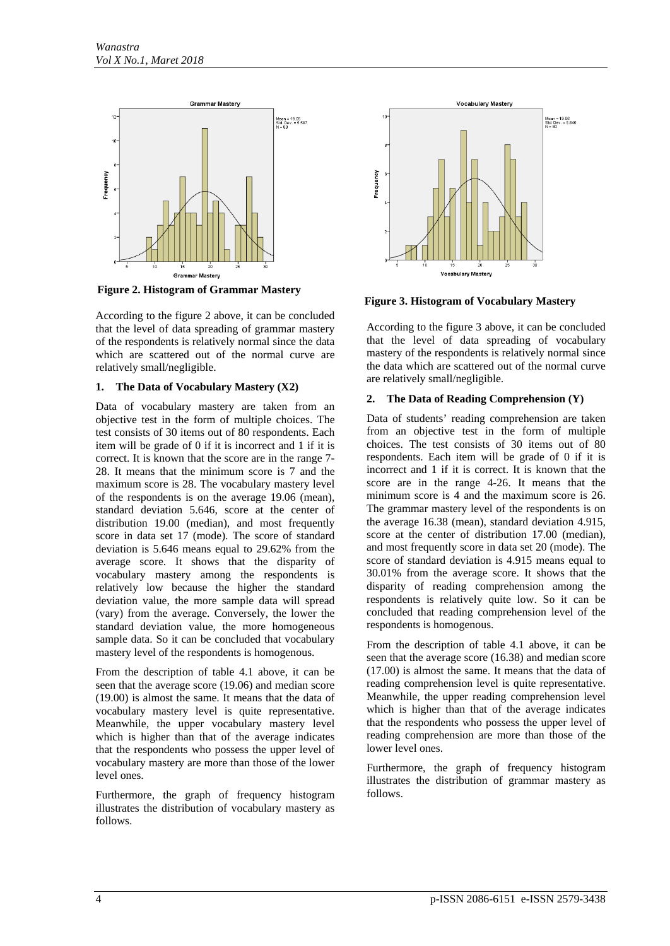

**Figure 2. Histogram of Grammar Mastery**

According to the figure 2 above, it can be concluded that the level of data spreading of grammar mastery of the respondents is relatively normal since the data which are scattered out of the normal curve are relatively small/negligible.

### **1. The Data of Vocabulary Mastery (X2)**

Data of vocabulary mastery are taken from an objective test in the form of multiple choices. The test consists of 30 items out of 80 respondents. Each item will be grade of 0 if it is incorrect and 1 if it is correct. It is known that the score are in the range 7- 28. It means that the minimum score is 7 and the maximum score is 28. The vocabulary mastery level of the respondents is on the average 19.06 (mean), standard deviation 5.646, score at the center of distribution 19.00 (median), and most frequently score in data set 17 (mode). The score of standard deviation is 5.646 means equal to 29.62% from the average score. It shows that the disparity of vocabulary mastery among the respondents is relatively low because the higher the standard deviation value, the more sample data will spread (vary) from the average. Conversely, the lower the standard deviation value, the more homogeneous sample data. So it can be concluded that vocabulary mastery level of the respondents is homogenous.

From the description of table 4.1 above, it can be seen that the average score (19.06) and median score (19.00) is almost the same. It means that the data of vocabulary mastery level is quite representative. Meanwhile, the upper vocabulary mastery level which is higher than that of the average indicates that the respondents who possess the upper level of vocabulary mastery are more than those of the lower level ones.

Furthermore, the graph of frequency histogram illustrates the distribution of vocabulary mastery as follows.



**Figure 3. Histogram of Vocabulary Mastery**

According to the figure 3 above, it can be concluded that the level of data spreading of vocabulary mastery of the respondents is relatively normal since the data which are scattered out of the normal curve are relatively small/negligible.

# **2. The Data of Reading Comprehension (Y)**

Data of students' reading comprehension are taken from an objective test in the form of multiple choices. The test consists of 30 items out of 80 respondents. Each item will be grade of 0 if it is incorrect and 1 if it is correct. It is known that the score are in the range 4-26. It means that the minimum score is 4 and the maximum score is 26. The grammar mastery level of the respondents is on the average 16.38 (mean), standard deviation 4.915, score at the center of distribution 17.00 (median), and most frequently score in data set 20 (mode). The score of standard deviation is 4.915 means equal to 30.01% from the average score. It shows that the disparity of reading comprehension among the respondents is relatively quite low. So it can be concluded that reading comprehension level of the respondents is homogenous.

From the description of table 4.1 above, it can be seen that the average score (16.38) and median score (17.00) is almost the same. It means that the data of reading comprehension level is quite representative. Meanwhile, the upper reading comprehension level which is higher than that of the average indicates that the respondents who possess the upper level of reading comprehension are more than those of the lower level ones.

Furthermore, the graph of frequency histogram illustrates the distribution of grammar mastery as follows.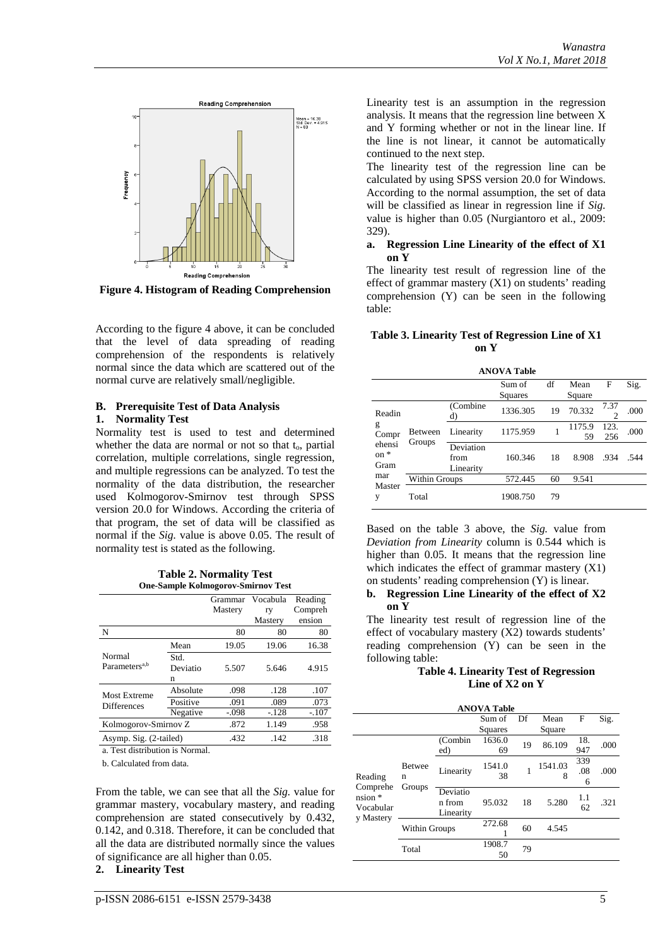

**Figure 4. Histogram of Reading Comprehension**

According to the figure 4 above, it can be concluded that the level of data spreading of reading comprehension of the respondents is relatively normal since the data which are scattered out of the normal curve are relatively small/negligible.

#### **B. Prerequisite Test of Data Analysis 1. Normality Test**

Normality test is used to test and determined whether the data are normal or not so that  $t_0$ , partial correlation, multiple correlations, single regression, and multiple regressions can be analyzed. To test the normality of the data distribution, the researcher used Kolmogorov-Smirnov test through SPSS version 20.0 for Windows. According the criteria of that program, the set of data will be classified as normal if the *Sig.* value is above 0.05. The result of normality test is stated as the following.

**Table 2. Normality Test One-Sample Kolmogorov-Smirnov Test**

|                                     |                                        | Grammar | Vocabula | Reading |
|-------------------------------------|----------------------------------------|---------|----------|---------|
|                                     |                                        | Mastery | ry       | Compreh |
|                                     |                                        |         | Mastery  | ension  |
| N                                   |                                        | 80      | 80       | 80      |
|                                     | Mean                                   | 19.05   | 19.06    | 16.38   |
| Normal<br>Parameters <sup>a,b</sup> | Std.<br>Deviatio                       | 5.507   | 5.646    | 4.915   |
|                                     | n                                      |         |          |         |
| Most Extreme                        | Absolute                               | .098    | .128     | .107    |
| <b>Differences</b>                  | Positive                               | .091    | .089     | .073    |
|                                     | Negative                               | $-.098$ | $-.128$  | $-.107$ |
|                                     | Kolmogorov-Smirnov Z                   |         | 1.149    | .958    |
|                                     | Asymp. Sig. (2-tailed)<br>.432<br>.142 |         | .318     |         |

a. Test distribution is Normal.

b. Calculated from data.

From the table, we can see that all the *Sig.* value for grammar mastery, vocabulary mastery, and reading comprehension are stated consecutively by 0.432, 0.142, and 0.318. Therefore, it can be concluded that all the data are distributed normally since the values of significance are all higher than 0.05.

**2. Linearity Test**

Linearity test is an assumption in the regression analysis. It means that the regression line between X and Y forming whether or not in the linear line. If the line is not linear, it cannot be automatically continued to the next step.

The linearity test of the regression line can be calculated by using SPSS version 20.0 for Windows. According to the normal assumption, the set of data will be classified as linear in regression line if *Sig.* value is higher than 0.05 (Nurgiantoro et al., 2009: 329).

#### **a. Regression Line Linearity of the effect of X1 on Y**

The linearity test result of regression line of the effect of grammar mastery  $(X1)$  on students' reading comprehension (Y) can be seen in the following table:

# **Table 3. Linearity Test of Regression Line of X1 on Y**

**ANOVA Table**

|                          |                   |                                | Sum of   | df | Mean         | F           | Sig. |
|--------------------------|-------------------|--------------------------------|----------|----|--------------|-------------|------|
|                          |                   |                                | Squares  |    | Square       |             |      |
| Readin                   |                   | (Combine<br>d)                 | 1336.305 | 19 | 70.332       | 7.37        | .000 |
| g<br>Compr               | Between<br>Groups | Linearity                      | 1175.959 | 1  | 1175.9<br>59 | 123.<br>256 | .000 |
| ehensi<br>$on *$<br>Gram |                   | Deviation<br>from<br>Linearity | 160.346  | 18 | 8.908        | .934        | .544 |
| mar                      | Within Groups     |                                | 572.445  | 60 | 9.541        |             |      |
| Master<br>v              | Total             |                                | 1908.750 | 79 |              |             |      |

Based on the table 3 above, the *Sig.* value from *Deviation from Linearity* column is 0.544 which is higher than 0.05. It means that the regression line which indicates the effect of grammar mastery (X1) on students' reading comprehension (Y) is linear.

#### **b. Regression Line Linearity of the effect of X2 on Y**

The linearity test result of regression line of the effect of vocabulary mastery (X2) towards students' reading comprehension (Y) can be seen in the following table:

### **Table 4. Linearity Test of Regression Line of X2 on Y**

|                        |                                                                                               |         | <b>ANOVA Table</b> |    |         |     |      |
|------------------------|-----------------------------------------------------------------------------------------------|---------|--------------------|----|---------|-----|------|
|                        |                                                                                               |         | Sum of             | Df | Mean    | F   | Sig. |
|                        |                                                                                               |         | Squares            |    | Square  |     |      |
|                        |                                                                                               | (Combin | 1636.0             | 19 | 86.109  | 18. | .000 |
|                        |                                                                                               | ed)     | 69                 |    |         | 947 |      |
|                        | <b>Betwee</b><br>Linearity<br>n<br>Groups<br>Deviatio<br>n from<br>Linearity<br>Within Groups |         | 1541.0             |    | 1541.03 | 339 | .000 |
| Reading                |                                                                                               |         | 38                 |    | 8       | .08 |      |
| Comprehe               |                                                                                               |         |                    |    |         | 6   |      |
| $nsion *$              |                                                                                               |         |                    |    |         | 1.1 |      |
| Vocabular<br>y Mastery |                                                                                               |         | 95.032             | 18 | 5.280   | 62  | .321 |
|                        |                                                                                               |         |                    |    |         |     |      |
|                        |                                                                                               |         | 272.68             | 60 | 4.545   |     |      |
|                        |                                                                                               |         |                    |    |         |     |      |
|                        | Total                                                                                         |         | 1908.7             | 79 |         |     |      |
|                        |                                                                                               |         | 50                 |    |         |     |      |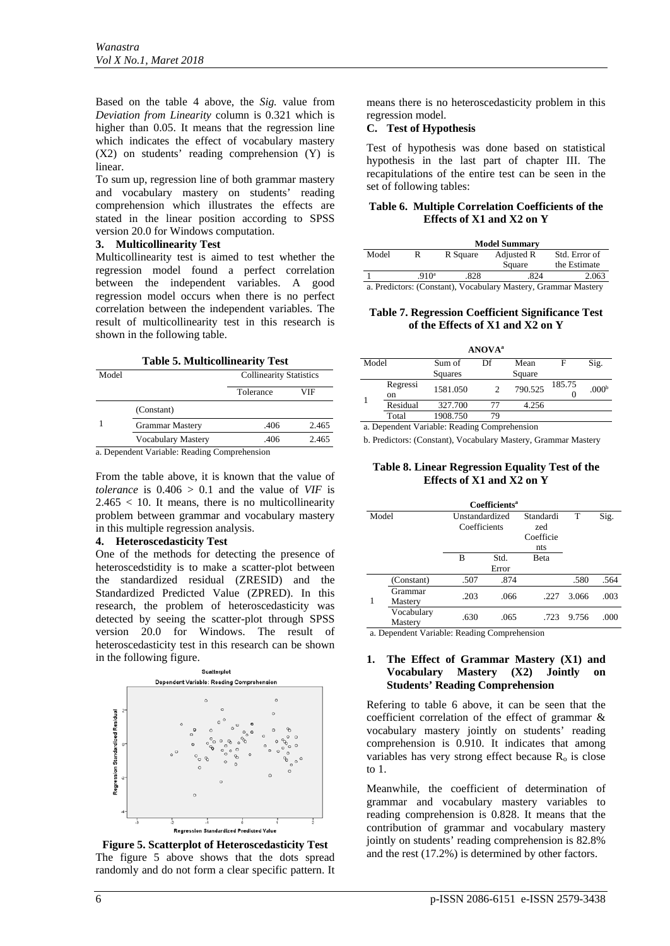Based on the table 4 above, the *Sig.* value from *Deviation from Linearity* column is 0.321 which is higher than 0.05. It means that the regression line which indicates the effect of vocabulary mastery (X2) on students' reading comprehension (Y) is linear.

To sum up, regression line of both grammar mastery and vocabulary mastery on students' reading comprehension which illustrates the effects are stated in the linear position according to SPSS version 20.0 for Windows computation.

#### **3. Multicollinearity Test**

Multicollinearity test is aimed to test whether the regression model found a perfect correlation between the independent variables. A good regression model occurs when there is no perfect correlation between the independent variables. The result of multicollinearity test in this research is shown in the following table.

**Table 5. Multicollinearity Test**

| Model |                        | <b>Collinearity Statistics</b> |       |  |
|-------|------------------------|--------------------------------|-------|--|
|       |                        | Tolerance                      | VIF   |  |
|       | (Constant)             |                                |       |  |
|       | <b>Grammar Mastery</b> | .406                           | 2.465 |  |
|       | Vocabulary Mastery     | .406                           | 2.465 |  |

a. Dependent Variable: Reading Comprehension

From the table above, it is known that the value of *tolerance* is  $0.406 > 0.1$  and the value of *VIF* is  $2.465 < 10$ . It means, there is no multicollinearity problem between grammar and vocabulary mastery in this multiple regression analysis.

#### **4. Heteroscedasticity Test**

One of the methods for detecting the presence of heteroscedstidity is to make a scatter-plot between the standardized residual (ZRESID) and the Standardized Predicted Value (ZPRED). In this research, the problem of heteroscedasticity was detected by seeing the scatter-plot through SPSS version 20.0 for Windows. The result of heteroscedasticity test in this research can be shown in the following figure.



**Figure 5. Scatterplot of Heteroscedasticity Test** The figure 5 above shows that the dots spread randomly and do not form a clear specific pattern. It

means there is no heteroscedasticity problem in this regression model.

## **C. Test of Hypothesis**

Test of hypothesis was done based on statistical hypothesis in the last part of chapter III. The recapitulations of the entire test can be seen in the set of following tables:

### **Table 6. Multiple Correlation Coefficients of the Effects of X1 and X2 on Y**

|                                                                |                  |          | <b>Model Summary</b> |                               |  |  |  |
|----------------------------------------------------------------|------------------|----------|----------------------|-------------------------------|--|--|--|
| Model                                                          | R                | R Square | Adjusted R<br>Square | Std. Error of<br>the Estimate |  |  |  |
|                                                                | 910 <sup>a</sup> | .828     | .824                 | 2.063                         |  |  |  |
| a. Predictors: (Constant), Vocabulary Mastery, Grammar Mastery |                  |          |                      |                               |  |  |  |

#### **Table 7. Regression Coefficient Significance Test of the Effects of X1 and X2 on Y**

| <b>ANOVA</b> <sup>a</sup> |          |          |    |         |        |                   |  |  |
|---------------------------|----------|----------|----|---------|--------|-------------------|--|--|
| Model                     |          | Sum of   | Df | Mean    | F      | Sig.              |  |  |
|                           |          | Squares  |    | Square  |        |                   |  |  |
|                           | Regressi | 1581.050 | っ  | 790.525 | 185.75 | .000 <sup>b</sup> |  |  |
|                           | on       |          |    |         |        |                   |  |  |
|                           | Residual | 327.700  | 77 | 4.256   |        |                   |  |  |
|                           | Total    | 1908.750 | 79 |         |        |                   |  |  |

a. Dependent Variable: Reading Comprehension

b. Predictors: (Constant), Vocabulary Mastery, Grammar Mastery

#### **Table 8. Linear Regression Equality Test of the Effects of X1 and X2 on Y**

|       |                       |                                | <b>Coefficients<sup>a</sup></b> |                                      |       |      |
|-------|-----------------------|--------------------------------|---------------------------------|--------------------------------------|-------|------|
| Model |                       | Unstandardized<br>Coefficients |                                 | Standardi<br>zed<br>Coefficie<br>nts | T     | Sig. |
|       |                       | в                              | Std.<br>Error                   | <b>B</b> eta                         |       |      |
|       | (Constant)            | .507                           | .874                            |                                      | .580  | .564 |
| 1     | Grammar<br>Mastery    | .203                           | .066                            | .227                                 | 3.066 | .003 |
|       | Vocabulary<br>Mastery | .630                           | .065                            | .723                                 | 9.756 | .000 |

a. Dependent Variable: Reading Comprehension

### **1. The Effect of Grammar Mastery (X1) and Vocabulary Mastery (X2) Jointly on Students' Reading Comprehension**

Refering to table 6 above, it can be seen that the coefficient correlation of the effect of grammar & vocabulary mastery jointly on students' reading comprehension is 0.910. It indicates that among variables has very strong effect because  $R_0$  is close to 1.

Meanwhile, the coefficient of determination of grammar and vocabulary mastery variables to reading comprehension is 0.828. It means that the contribution of grammar and vocabulary mastery jointly on students' reading comprehension is 82.8% and the rest (17.2%) is determined by other factors.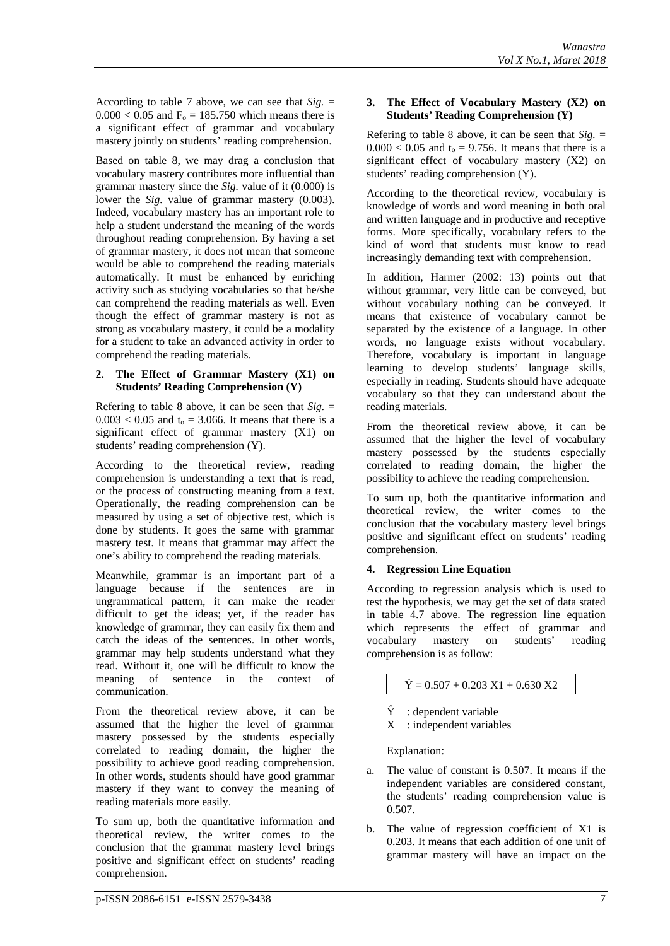According to table 7 above, we can see that *Sig.* =  $0.000 < 0.05$  and  $F<sub>o</sub> = 185.750$  which means there is a significant effect of grammar and vocabulary mastery jointly on students' reading comprehension.

Based on table 8, we may drag a conclusion that vocabulary mastery contributes more influential than grammar mastery since the *Sig.* value of it (0.000) is lower the *Sig*. value of grammar mastery (0.003). Indeed, vocabulary mastery has an important role to help a student understand the meaning of the words throughout reading comprehension. By having a set of grammar mastery, it does not mean that someone would be able to comprehend the reading materials automatically. It must be enhanced by enriching activity such as studying vocabularies so that he/she can comprehend the reading materials as well. Even though the effect of grammar mastery is not as strong as vocabulary mastery, it could be a modality for a student to take an advanced activity in order to comprehend the reading materials.

#### **2. The Effect of Grammar Mastery (X1) on Students' Reading Comprehension (Y)**

Refering to table 8 above, it can be seen that  $\text{Sig.} =$  $0.003 < 0.05$  and  $t<sub>o</sub> = 3.066$ . It means that there is a significant effect of grammar mastery (X1) on students' reading comprehension (Y).

According to the theoretical review, reading comprehension is understanding a text that is read, or the process of constructing meaning from a text. Operationally, the reading comprehension can be measured by using a set of objective test, which is done by students. It goes the same with grammar mastery test. It means that grammar may affect the one's ability to comprehend the reading materials.

Meanwhile, grammar is an important part of a language because if the sentences are in ungrammatical pattern, it can make the reader difficult to get the ideas; yet, if the reader has knowledge of grammar, they can easily fix them and catch the ideas of the sentences. In other words, grammar may help students understand what they read. Without it, one will be difficult to know the meaning of sentence in the context of communication.

From the theoretical review above, it can be assumed that the higher the level of grammar mastery possessed by the students especially correlated to reading domain, the higher the possibility to achieve good reading comprehension. In other words, students should have good grammar mastery if they want to convey the meaning of reading materials more easily.

To sum up, both the quantitative information and theoretical review, the writer comes to the conclusion that the grammar mastery level brings positive and significant effect on students' reading comprehension.

### **3. The Effect of Vocabulary Mastery (X2) on Students' Reading Comprehension (Y)**

Refering to table 8 above, it can be seen that  $\delta i g =$  $0.000 < 0.05$  and  $t<sub>0</sub> = 9.756$ . It means that there is a significant effect of vocabulary mastery (X2) on students' reading comprehension (Y).

According to the theoretical review, vocabulary is knowledge of words and word meaning in both oral and written language and in productive and receptive forms. More specifically, vocabulary refers to the kind of word that students must know to read increasingly demanding text with comprehension.

In addition, Harmer (2002: 13) points out that without grammar, very little can be conveyed, but without vocabulary nothing can be conveyed. It means that existence of vocabulary cannot be separated by the existence of a language. In other words, no language exists without vocabulary. Therefore, vocabulary is important in language learning to develop students' language skills, especially in reading. Students should have adequate vocabulary so that they can understand about the reading materials.

From the theoretical review above, it can be assumed that the higher the level of vocabulary mastery possessed by the students especially correlated to reading domain, the higher the possibility to achieve the reading comprehension.

To sum up, both the quantitative information and theoretical review, the writer comes to the conclusion that the vocabulary mastery level brings positive and significant effect on students' reading comprehension.

# **4. Regression Line Equation**

According to regression analysis which is used to test the hypothesis, we may get the set of data stated in table 4.7 above. The regression line equation which represents the effect of grammar and vocabulary mastery on students' reading comprehension is as follow:

 $\hat{Y} = 0.507 + 0.203 \text{ X1} + 0.630 \text{ X2}$ 

- $\hat{Y}$  : dependent variable
- X : independent variables

Explanation:

- a. The value of constant is 0.507. It means if the independent variables are considered constant, the students' reading comprehension value is 0.507.
- b. The value of regression coefficient of X1 is 0.203. It means that each addition of one unit of grammar mastery will have an impact on the